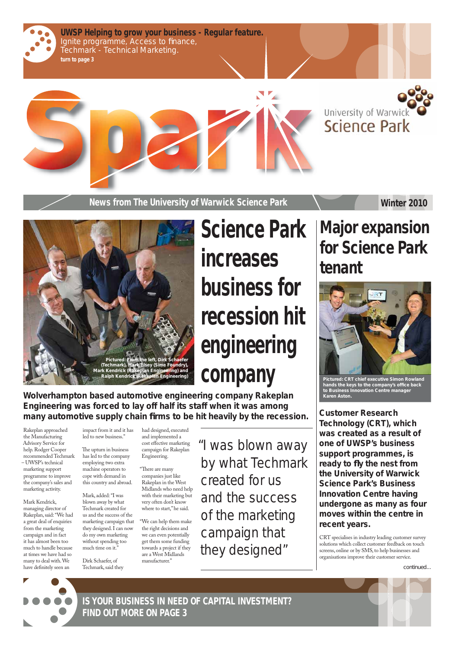



**News from The University of Warwick Science Park <b>Winter 2010** 

**Wolverhampton based automotive engineering company Rakeplan Engineering was forced to lay off half its staff when it was among**  many automotive supply chain firms to be hit heavily by the recession.

# Science Park increases business for recession hit engineering company

Mark Kendrick, managing director of Rakeplan, said: "We had a great deal of enquiries from the marketing campaign and in fact it has almost been too much to handle because at times we have had so many to deal with. We have definitely seen an

The upturn in business has led to the company employing two extra machine operators to cope with demand in this country and abroad.

Rakeplan approached the Manufacturing Advisory Service for help. Rodger Cooper recommended Techmark – UWSP's technical marketing support programme to improve the company's sales and marketing activity.

"There are many companies just like Rakeplan in the West Midlands who need help

impact from it and it has led to new business."

Mark, added: "I was blown away by what Techmark created for us and the success of the marketing campaign that they designed. I can now do my own marketing without spending too much time on it."

Dirk Schaefer, of Techmark, said they had designed, executed and implemented a cost effective marketing campaign for Rakeplan Engineering.

with their marketing but very often don't know where to start," he said.

"We can help them make the right decisions and we can even potentially get them some funding towards a project if they are a West Midlands manufacturer."

"I was blown away by what Techmark created for us

and the success of the marketing campaign that they designed"

# **Major expansion for Science Park tenant**



**Customer Research Technology (CRT), which was created as a result of one of UWSP's business support programmes, is ready to fl y the nest from the University of Warwick Science Park's Business Innovation Centre having undergone as many as four moves within the centre in recent years.** 

*continued...*



CRT specialises in industry leading customer survey solutions which collect customer feedback on touch screens, online or by SMS, to help businesses and organisations improve their customer service.

*Pictured: CRT chief executive Simon Rowland*  hands the keys to the company's office back *to Business Innovation Centre manager Karen Aston.*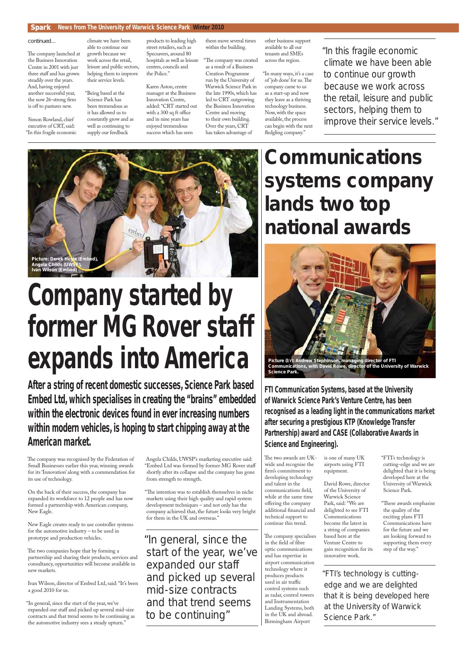## Spark **News from The University of Warwick Science Park Winter 2010**

The company launched at the Business Innovation Centre in 2001 with just three staff and has grown steadily over the years. And, having enjoyed another successful year, the now 26-strong firm is off to pastures new.

Simon Rowland, chief executive of CRT, said: "In this fragile economic

climate we have been able to continue our growth because we work across the retail, leisure and public sectors, helping them to improve their service levels.

"Being based at the Science Park has been tremendous as it has allowed us to constantly grow and as well as continuing to supply our feedback

"The company was created as a result of a Business Creation Programme run by the University of Warwick Science Park in the late 1990s, which has led to CRT outgrowing the Business Innovation Centre and moving to their own building. Over the years, CRT has taken advantage of

"In many ways, it's a case of 'job done' for us. The company came to us as a start-up and now they leave as a thriving technology business. Now, with the space available, the process can begin with the next fledgling company."

products to leading high street retailers, such as Specsavers, around 80 hospitals as well as leisure centres, councils and the Police."

Karen Aston, centre manager at the Business Innovation Centre, added: "CRT started out with a 300 sq ft office and in nine years has enjoyed tremendous success which has seen

The company was recognised by the Federation of Small Businesses earlier this year, winning awards for its 'Innovation' along with a commendation for its use of technology.

them move several times within the building.

The two companies hope that by forming a partnership and sharing their products, services and consultancy, opportunities will become available in new markets.

other business support available to all our tenants and SMEs across the region.

"The intention was to establish themselves in niche markets using their high quality and rapid system development techniques – and not only has the company achieved that, the future looks very bright for them in the UK and overseas."

On the back of their success, the company has expanded its workforce to 12 people and has now formed a partnership with American company, New Eagle.

New Eagle creates ready to use controller systems for the automotive industry – to be used in prototype and production vehicles.

Ivan Wilson, director of Embed Ltd, said: "It's been a good 2010 for us.

The two awards are UKwide and recognise the firm's commitment to developing technology and talent in the communications field, while at the same time offering the company additional financial and technical support to continue this trend. The company specialises in the field of fibre optic communications and has expertise in airport communication technology where it produces products used in air traffic control systems such as radar, control towers and Instrumentation Landing Systems, both in the UK and abroad. Birmingham Airport

"In general, since the start of the year, we've expanded our staff and picked up several mid-size contracts and that trend seems to be continuing as the automotive industry sees a steady upturn."

"These awards emphasise the quality of the exciting plans FTI Communications have for the future and we are looking forward to supporting them every step of the way."

Angela Childs, UWSP's marketing executive said: "Embed Ltd was formed by former MG Rover staff shortly after its collapse and the company has gone from strength to strength.

**After a string of recent domestic successes, Science Park based Embed Ltd, which specialises in creating the "brains" embedded within the electronic devices found in ever increasing numbers within modern vehicles, is hoping to start chipping away at the American market.**

> "In general, since the start of the year, we've expanded our staff and picked up several mid-size contracts and that trend seems to be continuing"

"In this fragile economic climate we have been able to continue our growth because we work across the retail, leisure and public sectors, helping them to improve their service levels."

*continued...*

# Company started by former MG Rover staff expands into America



**Communications systems company lands two top national awards**

**FTI Communication Systems, based at the University of Warwick Science Park's Venture Centre, has been recognised as a leading light in the communications market after securing a prestigious KTP (Knowledge Transfer Partnership) award and CASE (Collaborative Awards in Science and Engineering).**

> is one of many UK airports using FTI equipment.

David Rowe, director of the University of Warwick Science Park, said: "We are delighted to see FTI Communications become the latest in a string of companies based here at the Venture Centre to gain recognition for its innovative work.

"FTI's technology is cutting-edge and we are delighted that it is being developed here at the University of Warwick Science Park.

"FTI's technology is cuttingedge and we are delighted that it is being developed here at the University of Warwick Science Park."

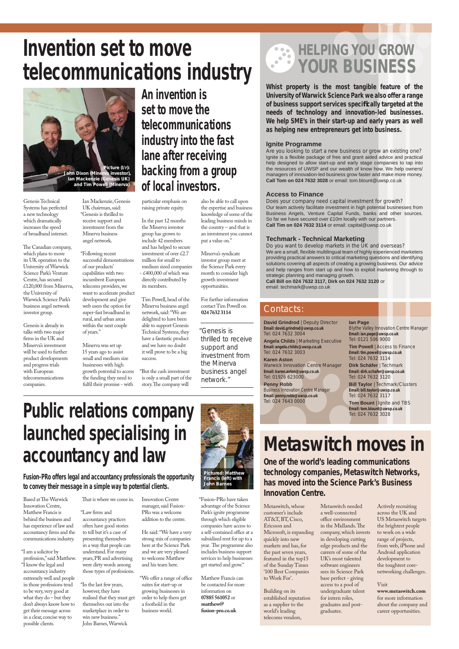**Whist property is the most tangible feature of the University of Warwick Science Park we also offer a range of business support services specifi cally targeted at the needs of technology and innovation-led businesses. We help SME's in their start-up and early years as well as helping new entrepreneurs get into business.**

## **Ignite Programme**

*Are you looking to start a new business or grow an existing one?* Ignite is a flexible package of free and grant aided advice and practical help designed to allow start-up and early stage companies to tap into the resources of UWSP and our wealth of know how. We help owners/ managers of innovation-led business grow faster and make more money. **Call Tom on 024 7632 3028** or email: tom.blount@uwsp.co.uk

## **Access to Finance**

*Does your company need capital investment for growth?* Our team actively facilitate investment in high potential businesses from Business Angels, Venture Capital Funds, banks and other sources. So far we have secured over £10m locally with our partners. **Call Tim on 024 7632 3114** or email: capital@uwsp.co.uk

> **Tim Powell** | Access to Finance **Email: tim.powell@uwsp.co.uk** Tel: 024 7632 3114

## **Techmark - Technical Marketing**

Tel: 024 7632 3117 **Tom Bount** | Ignite and TBS

*Do you want to develop markets in the UK and overseas?* We are a small, flexible multilingual team of highly experienced marketers providing practical answers to critical marketing questions and identifying solutions covering all aspects of creating a growing business. Our advice and help ranges from start up and how to exploit marketing through to strategic planning and managing growth.

**Call Bill on 024 7632 3117, Dirk on 024 7632 3120** or email: techmark@uwsp.co.uk

**David Grindrod** | Deputy Director **Email: david.grindrod@uwsp.co.uk** Tel: 024 7632 3004

**Angela Childs** | Marketing Executive **Email: angela.childs@uwsp.co.uk** Tel: 024 7632 3003

**Karen Aston** Warwick Innovation Centre Manager **Email: karen.aston@uwsp.co.uk** Tel: 01926 623000 **Penny Robb**

Business Innovation Centre Manager **Email: penny.robb@uwsp.co.uk** Tel: 024 7643 0000

### **Ian Page**

Blythe Valley Innovation Centre Manager **Email: ian.page@uwsp.co.uk** Tel: 0121 506 9000

The Canadian company, which plans to move its UK operation to the University of Warwick Science Park's Venture Centre, has secured £120,000 from Minerva, the University of Warwick Science Park's business angel network investor group.

> **Dirk Schäfer** | Techmark **Email: dirk.schafer@uwsp.co.uk** Tel: 024 7632 3120 **Bill Taylor** | Techmark/Clusters **Email: bill.taylor@uwsp.co.uk**

**Email: tom.blount@uwsp.co.uk** Tel: 024 7632 3028

# **HELPING YOU GROW** 3 **YOUR BUSINESS**

## Contacts:

# **Metaswitch moves in**

Minerva was set up 15 years ago to assist small and medium size businesses with high growth potential to access the funding they need to fulfil their promise - with

> Metaswitch, whose customer's include AT&T, BT, Cisco, Ericsson and Microsoft, is expanding quickly into new markets and has, for the past seven years, featured in the top15 of the Sunday Times '100 Best Companies to Work For'.

Building on its established reputation as a supplier to the world's leading telecoms vendors,

is only a small part of the story. The company will

> Metaswitch needed a well-connected office environment in the Midlands. The company, which invests in developing cutting edge products and the careers of some of the UK's most talented software engineers sees its Science Park base perfect - giving access to a pool of undergraduate talent for intern roles, graduates and postgraduates.

Based at The Warwick Innovation Centre, Matthew Francis is behind the business and has experience of law and accountancy firms and the communications industry.

Actively recruiting across the UK and US Metaswitch targets the brightest people to work on a wide range of projects, from web, iPhone and Android application development to the toughtest corenetworking challenges.

Visit

**www.metaswitch.com**  for more information about the company and career opportunities.

That is where we come in. "Law firms and accountancy practices often have good stories to tell but it's a case of presenting themselves in a way that people can understand. For many years, PR and advertising were dirty words among those types of professions.

**One of the world's leading communications technology companies, Metaswitch Networks, has moved into the Science Park's Business** 

### **Innovation Centre.**

# Invention set to move telecommunications industry

"We offer a range of office suites for start-up or growing businesses in order to help them get a foothold in the business world.

**An invention is set to move the telecommunications industry into the fast lane after receiving backing from a group of local investors.**

Genesis Technical Systems has perfected a new technology which dramatically increases the speed of broadband internet.

Genesis is already in talks with two major firms in the UK and Minerva's investment will be used to further product developments and progress trials with European telecommunications companies.

Ian Mackenzie, Genesis UK chairman, said: "Genesis is thrilled to receive support and investment from the Minerva business angel network.

"Following recent successful demonstrations of our products' capabilities with two incumbent European telecoms providers, we want to accelerate product development and give web users the option for super-fast broadband in rural, and urban areas within the next couple of years."

particular emphasis on raising private equity.

In the past 12 months the Minerva investor group has grown to include 42 members and has helped to secure investment of over £2.7 million for small to medium sized companies - £400,000 of which was directly contributed by

its members.

Tim Powell, head of the Minerva business angel network, said: "We are delighted to have been able to support Genesis Technical Systems, they have a fantastic product and we have no doubt

it will prove to be a big success. "But the cash investment also be able to call upon the expertise and business knowledge of some of the leading business minds in the country – and that is an investment you cannot put a value on."

Minerva's syndicate investor group meet at the Science Park every month to consider high growth investment opportunities.

For further information contact Tim Powell on **024 7632 3114**



"I am a solicitor by profession," said Matthew. "I know the legal and accountancy industry extremely well and people in those professions tend to be very, very good at what they do – but they don't always know how to get their message across in a clear, concise way to possible clients.

"In the last few years, however, they have realised that they must get themselves out into the marketplace in order to win new business." John Barnes, Warwick

Innovation Centre manager, said Fusion-PRo was a welcome addition to the centre. He said: "We have a very strong mix of companies here at the Science Park and we are very pleased to welcome Matthew and his team here.

"Fusion-PRo have taken advantage of the Science Park's ignite programme through which eligible companies have access to a self-contained office at a subsidised rent for up to a year. The programme also includes business support services to help businesses get started and grow."

Matthew Francis can be contacted for more information on **07885 561052** or **matthew@ fusion-pro.co.uk**

# Public relations company launched specialising in accountancy and law

**Fusion-PRo offers legal and accountancy professionals the opportunity to convey their message in a simple way to potential clients.**



"Genesis is thrilled to receive support and investment from the Minerva business angel network."

*Pictured: Matthew Francis (left) with John Barnes*